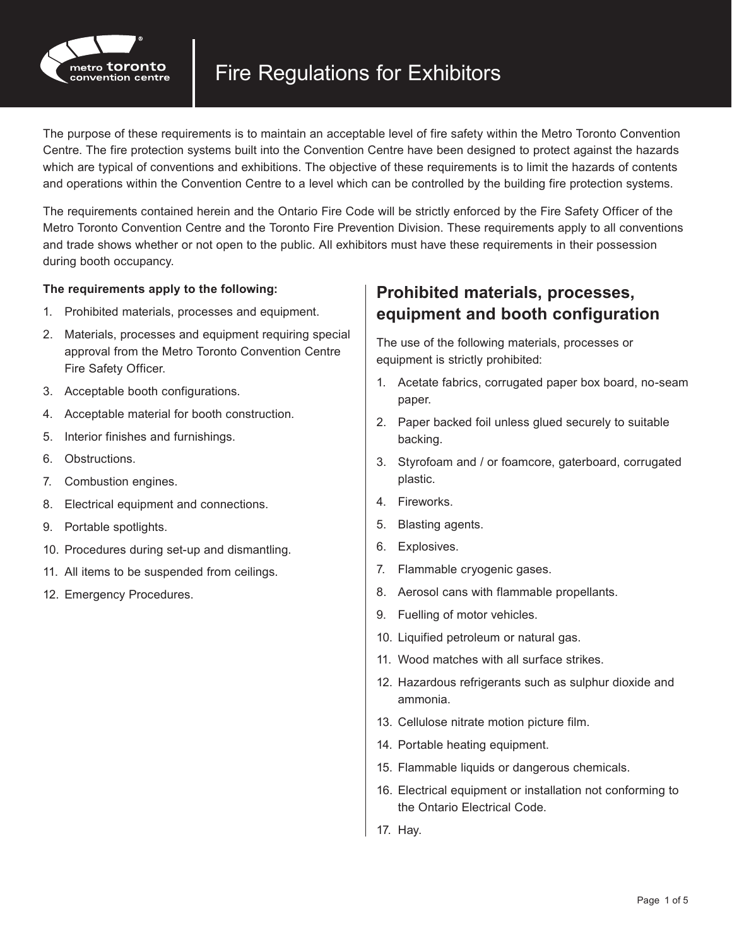

The purpose of these requirements is to maintain an acceptable level of fire safety within the Metro Toronto Convention Centre. The fire protection systems built into the Convention Centre have been designed to protect against the hazards which are typical of conventions and exhibitions. The objective of these requirements is to limit the hazards of contents and operations within the Convention Centre to a level which can be controlled by the building fire protection systems.

The requirements contained herein and the Ontario Fire Code will be strictly enforced by the Fire Safety Officer of the Metro Toronto Convention Centre and the Toronto Fire Prevention Division. These requirements apply to all conventions and trade shows whether or not open to the public. All exhibitors must have these requirements in their possession during booth occupancy.

#### **The requirements apply to the following:**

- 1. Prohibited materials, processes and equipment.
- 2. Materials, processes and equipment requiring special approval from the Metro Toronto Convention Centre Fire Safety Officer.
- 3. Acceptable booth configurations.
- 4. Acceptable material for booth construction.
- 5. Interior finishes and furnishings.
- 6. Obstructions.
- 7. Combustion engines.
- 8. Electrical equipment and connections.
- 9. Portable spotlights.
- 10. Procedures during set-up and dismantling.
- 11. All items to be suspended from ceilings.
- 12. Emergency Procedures.

#### **Prohibited materials, processes, equipment and booth configuration**

The use of the following materials, processes or equipment is strictly prohibited:

- 1. Acetate fabrics, corrugated paper box board, no-seam paper.
- 2. Paper backed foil unless glued securely to suitable backing.
- 3. Styrofoam and / or foamcore, gaterboard, corrugated plastic.
- 4. Fireworks.
- 5. Blasting agents.
- 6. Explosives.
- 7. Flammable cryogenic gases.
- 8. Aerosol cans with flammable propellants.
- 9. Fuelling of motor vehicles.
- 10. Liquified petroleum or natural gas.
- 11. Wood matches with all surface strikes.
- 12. Hazardous refrigerants such as sulphur dioxide and ammonia.
- 13. Cellulose nitrate motion picture film.
- 14. Portable heating equipment.
- 15. Flammable liquids or dangerous chemicals.
- 16. Electrical equipment or installation not conforming to the Ontario Electrical Code.
- 17. Hay.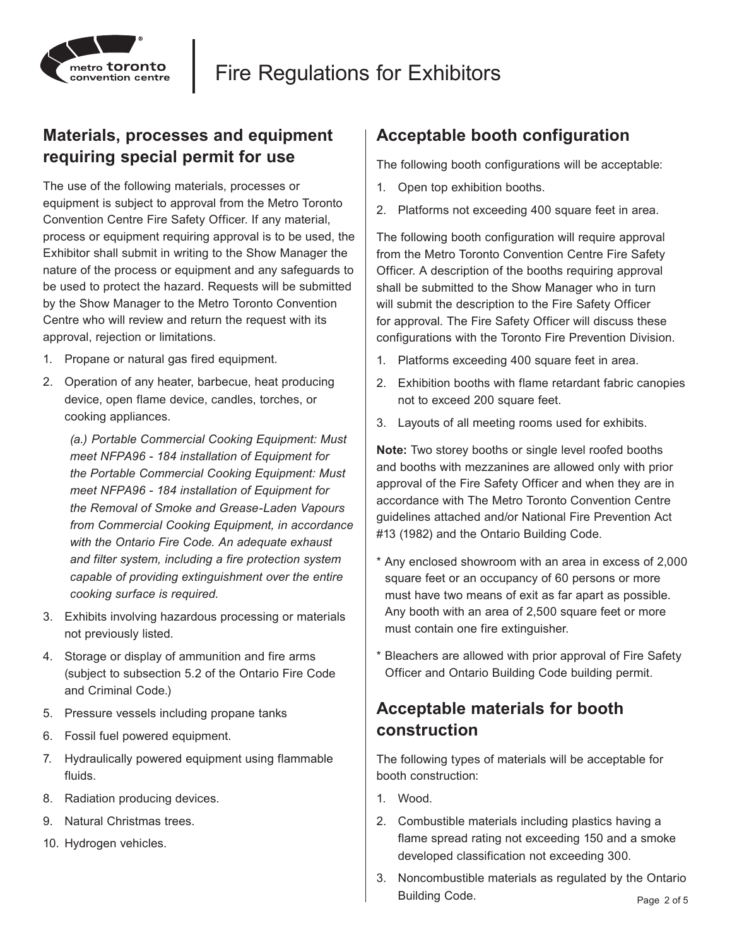

### **Materials, processes and equipment requiring special permit for use**

The use of the following materials, processes or equipment is subject to approval from the Metro Toronto Convention Centre Fire Safety Officer. If any material, process or equipment requiring approval is to be used, the Exhibitor shall submit in writing to the Show Manager the nature of the process or equipment and any safeguards to be used to protect the hazard. Requests will be submitted by the Show Manager to the Metro Toronto Convention Centre who will review and return the request with its approval, rejection or limitations.

- 1. Propane or natural gas fired equipment.
- 2. Operation of any heater, barbecue, heat producing device, open flame device, candles, torches, or cooking appliances.

*(a.) Portable Commercial Cooking Equipment: Must meet NFPA96 - 184 installation of Equipment for the Portable Commercial Cooking Equipment: Must meet NFPA96 - 184 installation of Equipment for the Removal of Smoke and Grease-Laden Vapours from Commercial Cooking Equipment, in accordance with the Ontario Fire Code. An adequate exhaust and filter system, including a fire protection system capable of providing extinguishment over the entire cooking surface is required.*

- 3. Exhibits involving hazardous processing or materials not previously listed.
- 4. Storage or display of ammunition and fire arms (subject to subsection 5.2 of the Ontario Fire Code and Criminal Code.)
- 5. Pressure vessels including propane tanks
- 6. Fossil fuel powered equipment.
- 7. Hydraulically powered equipment using flammable fluids.
- 8. Radiation producing devices.
- 9. Natural Christmas trees.
- 10. Hydrogen vehicles.

#### **Acceptable booth configuration**

The following booth configurations will be acceptable:

- 1. Open top exhibition booths.
- 2. Platforms not exceeding 400 square feet in area.

The following booth configuration will require approval from the Metro Toronto Convention Centre Fire Safety Officer. A description of the booths requiring approval shall be submitted to the Show Manager who in turn will submit the description to the Fire Safety Officer for approval. The Fire Safety Officer will discuss these configurations with the Toronto Fire Prevention Division.

- 1. Platforms exceeding 400 square feet in area.
- 2. Exhibition booths with flame retardant fabric canopies not to exceed 200 square feet.
- 3. Layouts of all meeting rooms used for exhibits.

**Note:** Two storey booths or single level roofed booths and booths with mezzanines are allowed only with prior approval of the Fire Safety Officer and when they are in accordance with The Metro Toronto Convention Centre guidelines attached and/or National Fire Prevention Act #13 (1982) and the Ontario Building Code.

- \* Any enclosed showroom with an area in excess of 2,000 square feet or an occupancy of 60 persons or more must have two means of exit as far apart as possible. Any booth with an area of 2,500 square feet or more must contain one fire extinguisher.
- Bleachers are allowed with prior approval of Fire Safety Officer and Ontario Building Code building permit.

### **Acceptable materials for booth construction**

The following types of materials will be acceptable for booth construction:

- 1. Wood.
- 2. Combustible materials including plastics having a flame spread rating not exceeding 150 and a smoke developed classification not exceeding 300.
- 3. Noncombustible materials as regulated by the Ontario Building Code.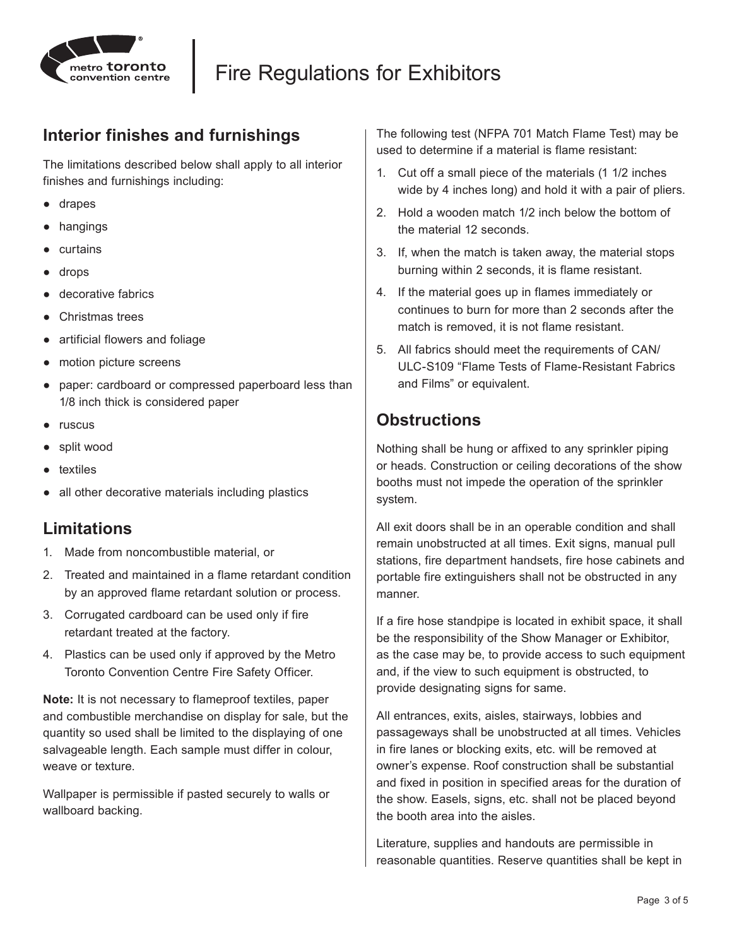

### **Interior finishes and furnishings**

The limitations described below shall apply to all interior finishes and furnishings including:

- drapes
- hangings
- curtains
- drops
- decorative fabrics
- Christmas trees
- artificial flowers and foliage
- motion picture screens
- paper: cardboard or compressed paperboard less than 1/8 inch thick is considered paper
- ruscus
- split wood
- textiles
- all other decorative materials including plastics

#### **Limitations**

- 1. Made from noncombustible material, or
- 2. Treated and maintained in a flame retardant condition by an approved flame retardant solution or process.
- 3. Corrugated cardboard can be used only if fire retardant treated at the factory.
- 4. Plastics can be used only if approved by the Metro Toronto Convention Centre Fire Safety Officer.

**Note:** It is not necessary to flameproof textiles, paper and combustible merchandise on display for sale, but the quantity so used shall be limited to the displaying of one salvageable length. Each sample must differ in colour, weave or texture.

Wallpaper is permissible if pasted securely to walls or wallboard backing.

The following test (NFPA 701 Match Flame Test) may be used to determine if a material is flame resistant:

- 1. Cut off a small piece of the materials (1 1/2 inches wide by 4 inches long) and hold it with a pair of pliers.
- 2. Hold a wooden match 1/2 inch below the bottom of the material 12 seconds.
- 3. If, when the match is taken away, the material stops burning within 2 seconds, it is flame resistant.
- 4. If the material goes up in flames immediately or continues to burn for more than 2 seconds after the match is removed, it is not flame resistant.
- 5. All fabrics should meet the requirements of CAN/ ULC-S109 "Flame Tests of Flame-Resistant Fabrics and Films" or equivalent.

### **Obstructions**

Nothing shall be hung or affixed to any sprinkler piping or heads. Construction or ceiling decorations of the show booths must not impede the operation of the sprinkler system.

All exit doors shall be in an operable condition and shall remain unobstructed at all times. Exit signs, manual pull stations, fire department handsets, fire hose cabinets and portable fire extinguishers shall not be obstructed in any manner.

If a fire hose standpipe is located in exhibit space, it shall be the responsibility of the Show Manager or Exhibitor, as the case may be, to provide access to such equipment and, if the view to such equipment is obstructed, to provide designating signs for same.

All entrances, exits, aisles, stairways, lobbies and passageways shall be unobstructed at all times. Vehicles in fire lanes or blocking exits, etc. will be removed at owner's expense. Roof construction shall be substantial and fixed in position in specified areas for the duration of the show. Easels, signs, etc. shall not be placed beyond the booth area into the aisles.

Literature, supplies and handouts are permissible in reasonable quantities. Reserve quantities shall be kept in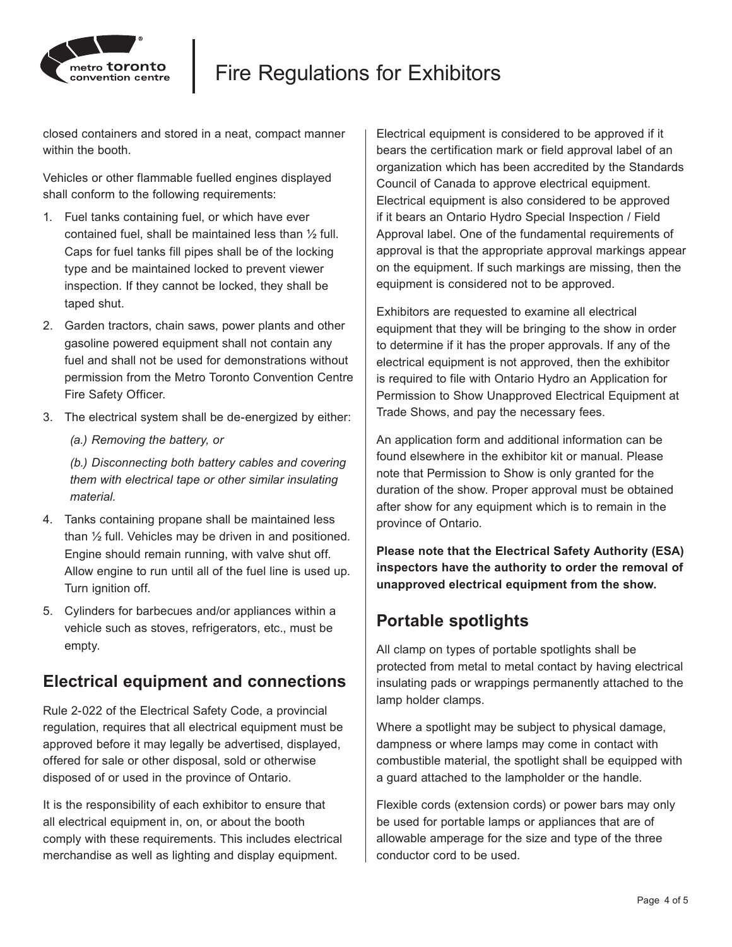

# Fire Regulations for Exhibitors

closed containers and stored in a neat, compact manner within the booth

Vehicles or other flammable fuelled engines displayed shall conform to the following requirements:

- 1. Fuel tanks containing fuel, or which have ever contained fuel, shall be maintained less than ½ full. Caps for fuel tanks fill pipes shall be of the locking type and be maintained locked to prevent viewer inspection. If they cannot be locked, they shall be taped shut.
- 2. Garden tractors, chain saws, power plants and other gasoline powered equipment shall not contain any fuel and shall not be used for demonstrations without permission from the Metro Toronto Convention Centre Fire Safety Officer.
- 3. The electrical system shall be de-energized by either:
	- *(a.) Removing the battery, or*

*(b.) Disconnecting both battery cables and covering them with electrical tape or other similar insulating material.*

- 4. Tanks containing propane shall be maintained less than ½ full. Vehicles may be driven in and positioned. Engine should remain running, with valve shut off. Allow engine to run until all of the fuel line is used up. Turn ignition off.
- 5. Cylinders for barbecues and/or appliances within a vehicle such as stoves, refrigerators, etc., must be empty.

### **Electrical equipment and connections**

Rule 2-022 of the Electrical Safety Code, a provincial regulation, requires that all electrical equipment must be approved before it may legally be advertised, displayed, offered for sale or other disposal, sold or otherwise disposed of or used in the province of Ontario.

It is the responsibility of each exhibitor to ensure that all electrical equipment in, on, or about the booth comply with these requirements. This includes electrical merchandise as well as lighting and display equipment.

Electrical equipment is considered to be approved if it bears the certification mark or field approval label of an organization which has been accredited by the Standards Council of Canada to approve electrical equipment. Electrical equipment is also considered to be approved if it bears an Ontario Hydro Special Inspection / Field Approval label. One of the fundamental requirements of approval is that the appropriate approval markings appear on the equipment. If such markings are missing, then the equipment is considered not to be approved.

Exhibitors are requested to examine all electrical equipment that they will be bringing to the show in order to determine if it has the proper approvals. If any of the electrical equipment is not approved, then the exhibitor is required to file with Ontario Hydro an Application for Permission to Show Unapproved Electrical Equipment at Trade Shows, and pay the necessary fees.

An application form and additional information can be found elsewhere in the exhibitor kit or manual. Please note that Permission to Show is only granted for the duration of the show. Proper approval must be obtained after show for any equipment which is to remain in the province of Ontario.

**Please note that the Electrical Safety Authority (ESA) inspectors have the authority to order the removal of unapproved electrical equipment from the show.**

## **Portable spotlights**

All clamp on types of portable spotlights shall be protected from metal to metal contact by having electrical insulating pads or wrappings permanently attached to the lamp holder clamps.

Where a spotlight may be subject to physical damage, dampness or where lamps may come in contact with combustible material, the spotlight shall be equipped with a guard attached to the lampholder or the handle.

Flexible cords (extension cords) or power bars may only be used for portable lamps or appliances that are of allowable amperage for the size and type of the three conductor cord to be used.